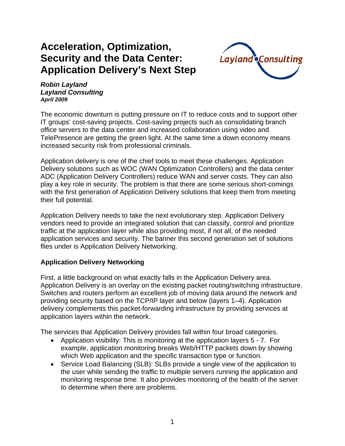# **Acceleration, Optimization, Security and the Data Center: Application Delivery's Next Step**



#### *Robin Layland Layland Consulting April 2009*

The economic downturn is putting pressure on IT to reduce costs and to support other IT groups' cost-saving projects. Cost-saving projects such as consolidating branch office servers to the data center and increased collaboration using video and TelePresence are getting the green light. At the same time a down economy means increased security risk from professional criminals.

Application delivery is one of the chief tools to meet these challenges. Application Delivery solutions such as WOC (WAN Optimization Controllers) and the data center ADC (Application Delivery Controllers) reduce WAN and server costs. They can also play a key role in security. The problem is that there are some serious short-comings with the first generation of Application Delivery solutions that keep them from meeting their full potential.

Application Delivery needs to take the next evolutionary step. Application Delivery vendors need to provide an integrated solution that can classify, control and prioritize traffic at the application layer while also providing most, if not all, of the needed application services and security. The banner this second generation set of solutions flies under is Application Delivery Networking.

# **Application Delivery Networking**

First, a little background on what exactly falls in the Application Delivery area. Application Delivery is an overlay on the existing packet routing/switching infrastructure. Switches and routers perform an excellent job of moving data around the network and providing security based on the TCP/IP layer and below (layers 1–4). Application delivery complements this packet-forwarding infrastructure by providing services at application layers within the network.

The services that Application Delivery provides fall within four broad categories.

- Application visibility: This is monitoring at the application layers 5 7. For example, application monitoring breaks Web/HTTP packets down by showing which Web application and the specific transaction type or function.
- Service Load Balancing (SLB): SLBs provide a single view of the application to the user while sending the traffic to multiple servers running the application and monitoring response time. It also provides monitoring of the health of the server to determine when there are problems.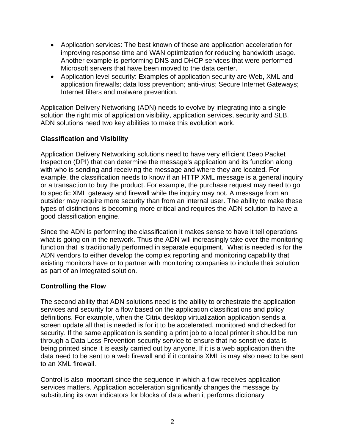- Application services: The best known of these are application acceleration for improving response time and WAN optimization for reducing bandwidth usage. Another example is performing DNS and DHCP services that were performed Microsoft servers that have been moved to the data center.
- Application level security: Examples of application security are Web, XML and application firewalls; data loss prevention; anti-virus; Secure Internet Gateways; Internet filters and malware prevention.

Application Delivery Networking (ADN) needs to evolve by integrating into a single solution the right mix of application visibility, application services, security and SLB. ADN solutions need two key abilities to make this evolution work.

# **Classification and Visibility**

Application Delivery Networking solutions need to have very efficient Deep Packet Inspection (DPI) that can determine the message's application and its function along with who is sending and receiving the message and where they are located. For example, the classification needs to know if an HTTP XML message is a general inquiry or a transaction to buy the product. For example, the purchase request may need to go to specific XML gateway and firewall while the inquiry may not. A message from an outsider may require more security than from an internal user. The ability to make these types of distinctions is becoming more critical and requires the ADN solution to have a good classification engine.

Since the ADN is performing the classification it makes sense to have it tell operations what is going on in the network. Thus the ADN will increasingly take over the monitoring function that is traditionally performed in separate equipment. What is needed is for the ADN vendors to either develop the complex reporting and monitoring capability that existing monitors have or to partner with monitoring companies to include their solution as part of an integrated solution.

# **Controlling the Flow**

The second ability that ADN solutions need is the ability to orchestrate the application services and security for a flow based on the application classifications and policy definitions. For example, when the Citrix desktop virtualization application sends a screen update all that is needed is for it to be accelerated, monitored and checked for security. If the same application is sending a print job to a local printer it should be run through a Data Loss Prevention security service to ensure that no sensitive data is being printed since it is easily carried out by anyone. If it is a web application then the data need to be sent to a web firewall and if it contains XML is may also need to be sent to an XML firewall.

Control is also important since the sequence in which a flow receives application services matters. Application acceleration significantly changes the message by substituting its own indicators for blocks of data when it performs dictionary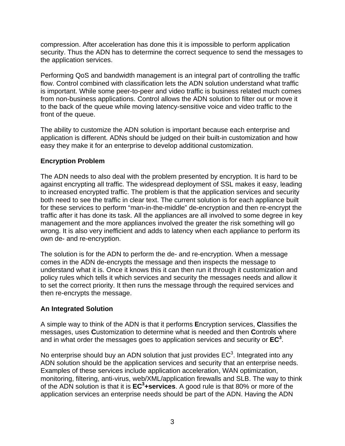compression. After acceleration has done this it is impossible to perform application security. Thus the ADN has to determine the correct sequence to send the messages to the application services.

Performing QoS and bandwidth management is an integral part of controlling the traffic flow. Control combined with classification lets the ADN solution understand what traffic is important. While some peer-to-peer and video traffic is business related much comes from non-business applications. Control allows the ADN solution to filter out or move it to the back of the queue while moving latency-sensitive voice and video traffic to the front of the queue.

The ability to customize the ADN solution is important because each enterprise and application is different. ADNs should be judged on their built-in customization and how easy they make it for an enterprise to develop additional customization.

### **Encryption Problem**

The ADN needs to also deal with the problem presented by encryption. It is hard to be against encrypting all traffic. The widespread deployment of SSL makes it easy, leading to increased encrypted traffic. The problem is that the application services and security both need to see the traffic in clear text. The current solution is for each appliance built for these services to perform "man-in-the-middle" de-encryption and then re-encrypt the traffic after it has done its task. All the appliances are all involved to some degree in key management and the more appliances involved the greater the risk something will go wrong. It is also very inefficient and adds to latency when each appliance to perform its own de- and re-encryption.

The solution is for the ADN to perform the de- and re-encryption. When a message comes in the ADN de-encrypts the message and then inspects the message to understand what it is. Once it knows this it can then run it through it customization and policy rules which tells it which services and security the messages needs and allow it to set the correct priority. It then runs the message through the required services and then re-encrypts the message.

# **An Integrated Solution**

A simple way to think of the ADN is that it performs **E**ncryption services, **C**lassifies the messages, uses **C**ustomization to determine what is needed and then **C**ontrols where and in what order the messages goes to application services and security or **EC3** .

No enterprise should buy an ADN solution that just provides  $EC<sup>3</sup>$ . Integrated into any ADN solution should be the application services and security that an enterprise needs. Examples of these services include application acceleration, WAN optimization, monitoring, filtering, anti-virus, web/XML/application firewalls and SLB. The way to think of the ADN solution is that it is **EC3 +services**. A good rule is that 80% or more of the application services an enterprise needs should be part of the ADN. Having the ADN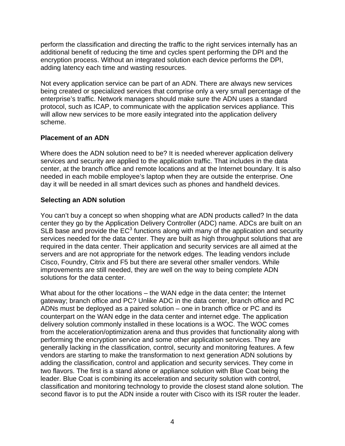perform the classification and directing the traffic to the right services internally has an additional benefit of reducing the time and cycles spent performing the DPI and the encryption process. Without an integrated solution each device performs the DPI, adding latency each time and wasting resources.

Not every application service can be part of an ADN. There are always new services being created or specialized services that comprise only a very small percentage of the enterprise's traffic. Network managers should make sure the ADN uses a standard protocol, such as ICAP, to communicate with the application services appliance. This will allow new services to be more easily integrated into the application delivery scheme.

### **Placement of an ADN**

Where does the ADN solution need to be? It is needed wherever application delivery services and security are applied to the application traffic. That includes in the data center, at the branch office and remote locations and at the Internet boundary. It is also needed in each mobile employee's laptop when they are outside the enterprise. One day it will be needed in all smart devices such as phones and handheld devices.

# **Selecting an ADN solution**

You can't buy a concept so when shopping what are ADN products called? In the data center they go by the Application Delivery Controller (ADC) name. ADCs are built on an SLB base and provide the  $EC^3$  functions along with many of the application and security services needed for the data center. They are built as high throughput solutions that are required in the data center. Their application and security services are all aimed at the servers and are not appropriate for the network edges. The leading vendors include Cisco, Foundry, Citrix and F5 but there are several other smaller vendors. While improvements are still needed, they are well on the way to being complete ADN solutions for the data center.

What about for the other locations – the WAN edge in the data center; the Internet gateway; branch office and PC? Unlike ADC in the data center, branch office and PC ADNs must be deployed as a paired solution – one in branch office or PC and its counterpart on the WAN edge in the data center and internet edge. The application delivery solution commonly installed in these locations is a WOC. The WOC comes from the acceleration/optimization arena and thus provides that functionality along with performing the encryption service and some other application services. They are generally lacking in the classification, control, security and monitoring features. A few vendors are starting to make the transformation to next generation ADN solutions by adding the classification, control and application and security services. They come in two flavors. The first is a stand alone or appliance solution with Blue Coat being the leader. Blue Coat is combining its acceleration and security solution with control, classification and monitoring technology to provide the closest stand alone solution. The second flavor is to put the ADN inside a router with Cisco with its ISR router the leader.